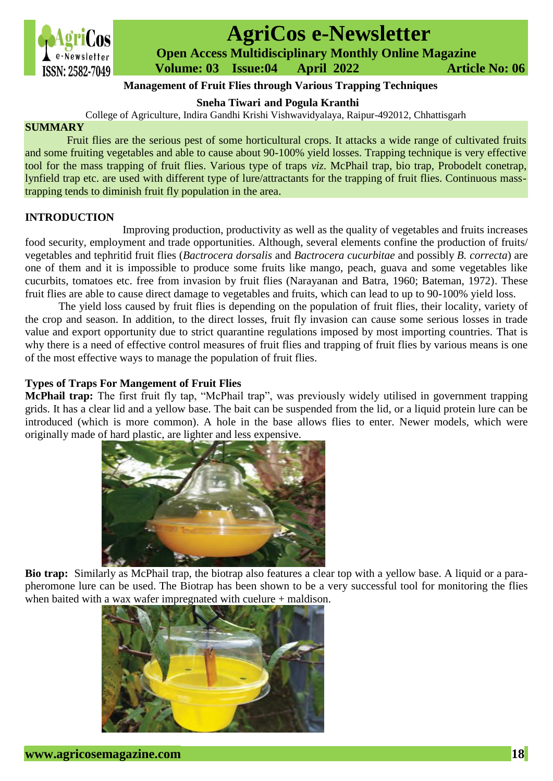

# **AgriCos e-Newsletter**

 **Open Access Multidisciplinary Monthly Online Magazine**

 **ISSN: 2582-7049 Volume: 03 Issue:04 April 2022 Article No: 06** 

## **Management of Fruit Flies through Various Trapping Techniques**

**Sneha Tiwari and Pogula Kranthi**

College of Agriculture, Indira Gandhi Krishi Vishwavidyalaya, Raipur-492012, Chhattisgarh

#### **SUMMARY**

Fruit flies are the serious pest of some horticultural crops. It attacks a wide range of cultivated fruits and some fruiting vegetables and able to cause about 90-100% yield losses. Trapping technique is very effective tool for the mass trapping of fruit flies. Various type of traps *viz*. McPhail trap, bio trap, Probodelt conetrap, lynfield trap etc. are used with different type of lure/attractants for the trapping of fruit flies. Continuous masstrapping tends to diminish fruit fly population in the area.

#### **INTRODUCTION**

 Improving production, productivity as well as the quality of vegetables and fruits increases food security, employment and trade opportunities. Although, several elements confine the production of fruits/ vegetables and tephritid fruit flies (*Bactrocera dorsalis* and *Bactrocera cucurbitae* and possibly *B. correcta*) are one of them and it is impossible to produce some fruits like mango, peach, guava and some vegetables like cucurbits, tomatoes etc. free from invasion by fruit flies (Narayanan and Batra, 1960; Bateman, 1972). These fruit flies are able to cause direct damage to vegetables and fruits, which can lead to up to 90-100% yield loss.

The yield loss caused by fruit flies is depending on the population of fruit flies, their locality, variety of the crop and season. In addition, to the direct losses, fruit fly invasion can cause some serious losses in trade value and export opportunity due to strict quarantine regulations imposed by most importing countries. That is why there is a need of effective control measures of fruit flies and trapping of fruit flies by various means is one of the most effective ways to manage the population of fruit flies.

### **Types of Traps For Mangement of Fruit Flies**

**McPhail trap:** The first fruit fly tap, "McPhail trap", was previously widely utilised in government trapping grids. It has a clear lid and a yellow base. The bait can be suspended from the lid, or a liquid protein lure can be introduced (which is more common). A hole in the base allows flies to enter. Newer models, which were originally made of hard plastic, are lighter and less expensive.



**Bio trap:** Similarly as McPhail trap, the biotrap also features a clear top with a yellow base. A liquid or a parapheromone lure can be used. The Biotrap has been shown to be a very successful tool for monitoring the flies when baited with a wax wafer impregnated with cuelure + maldison.

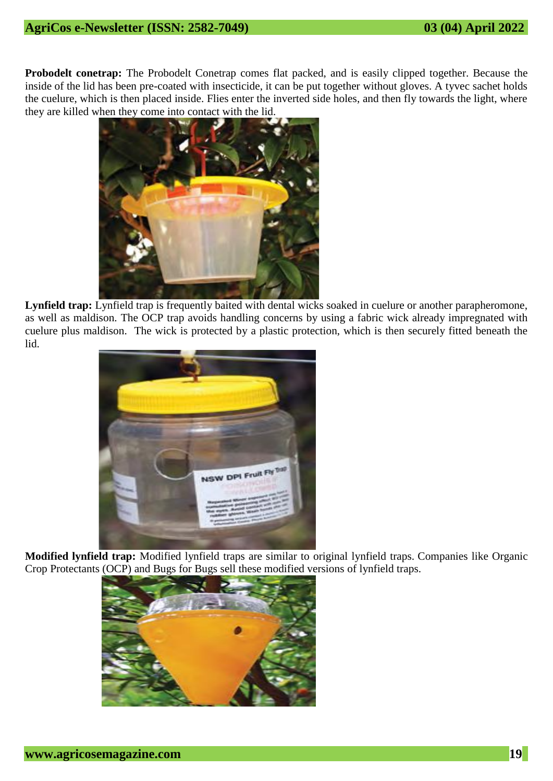**Probodelt conetrap:** The Probodelt Conetrap comes flat packed, and is easily clipped together. Because the inside of the lid has been pre-coated with insecticide, it can be put together without gloves. A tyvec sachet holds the cuelure, which is then placed inside. Flies enter the inverted side holes, and then fly towards the light, where they are killed when they come into contact with the lid.



**Lynfield trap:** Lynfield trap is frequently baited with dental wicks soaked in cuelure or another parapheromone, as well as maldison. The OCP trap avoids handling concerns by using a fabric wick already impregnated with cuelure plus maldison. The wick is protected by a plastic protection, which is then securely fitted beneath the lid.



**Modified lynfield trap:** Modified lynfield traps are similar to original lynfield traps. Companies like Organic Crop Protectants (OCP) and Bugs for Bugs sell these modified versions of lynfield traps.